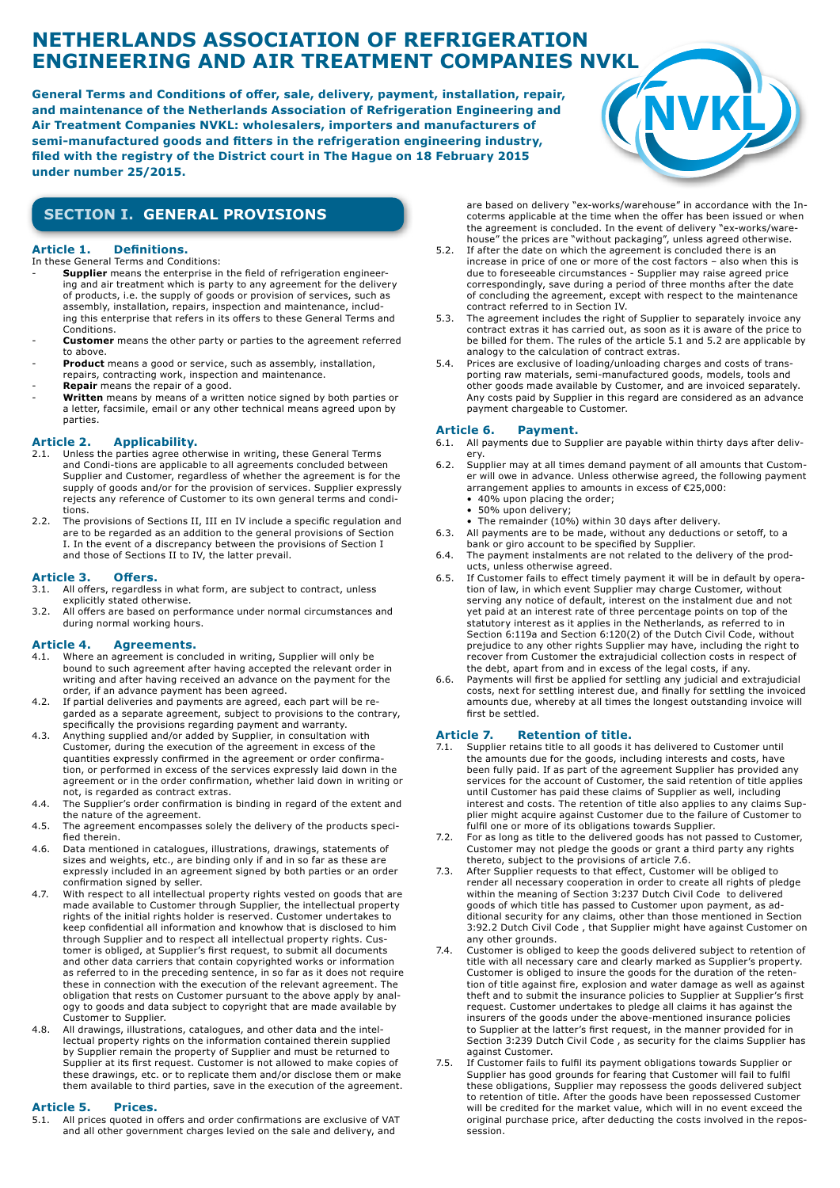# **NETHERLANDS ASSOCIATION OF REFRIGERATION ENGINEERING AND AIR TREATMENT COMPANIES NVKL**

**General Terms and Conditions of offer, sale, delivery, payment, installation, repair, and maintenance of the Netherlands Association of Refrigeration Engineering and Air Treatment Companies NVKL: wholesalers, importers and manufacturers of semi-manufactured goods and fitters in the refrigeration engineering industry, filed with the registry of the District court in The Hague on 18 February 2015 under number 25/2015.**



### **SECTION I. GENERAL PROVISIONS**

### **Article 1. Definitions.**

- In these General Terms and Conditions: - **Supplier** means the enterprise in the field of refrigeration engineer-
- ing and air treatment which is party to any agreement for the delivery of products, i.e. the supply of goods or provision of services, such as assembly, installation, repairs, inspection and maintenance, including this enterprise that refers in its offers to these General Terms and Conditions.
- **Customer** means the other party or parties to the agreement referred to above.
- Product means a good or service, such as assembly, installation,
- repairs, contracting work, inspection and maintenance. Repair means the repair of a good.
- Written means by means of a written notice signed by both parties or a letter, facsimile, email or any other technical means agreed upon by parties.

### **Article 2. Applicability.**

- 2.1. Unless the parties agree otherwise in writing, these General Terms and Condi-tions are applicable to all agreements concluded between Supplier and Customer, regardless of whether the agreement is for the supply of goods and/or for the provision of services. Supplier expressly rejects any reference of Customer to its own general terms and conditions.
- 2.2. The provisions of Sections II, III en IV include a specific regulation and are to be regarded as an addition to the general provisions of Section I. In the event of a discrepancy between the provisions of Section I and those of Sections II to IV, the latter prevail.

### **Article 3. Offers.**

- 3.1. All offers, regardless in what form, are subject to contract, unless explicitly stated otherwise.
- 3.2. All offers are based on performance under normal circumstances and during normal working hours.

## **Article 4. Agreements.**<br>4.1. Where an agreement is conden

- Where an agreement is concluded in writing, Supplier will only be bound to such agreement after having accepted the relevant order in writing and after having received an advance on the payment for the order, if an advance payment has been agreed.
- 4.2. If partial deliveries and payments are agreed, each part will be regarded as a separate agreement, subject to provisions to the contrary, specifically the provisions regarding payment and warranty.
- 4.3. Anything supplied and/or added by Supplier, in consultation with Customer, during the execution of the agreement in excess of the quantities expressly confirmed in the agreement or order confirmation, or performed in excess of the services expressly laid down in the agreement or in the order confirmation, whether laid down in writing or not, is regarded as contract extras.
- 4.4. The Supplier's order confirmation is binding in regard of the extent and the nature of the agreement.
- 4.5. The agreement encompasses solely the delivery of the products specified therein.
- 4.6. Data mentioned in catalogues, illustrations, drawings, statements of sizes and weights, etc., are binding only if and in so far as these are expressly included in an agreement signed by both parties or an order confirmation signed by seller.
- 4.7. With respect to all intellectual property rights vested on goods that are made available to Customer through Supplier, the intellectual property rights of the initial rights holder is reserved. Customer undertakes to keep confidential all information and knowhow that is disclosed to him through Supplier and to respect all intellectual property rights. Customer is obliged, at Supplier's first request, to submit all documents and other data carriers that contain copyrighted works or information as referred to in the preceding sentence, in so far as it does not require these in connection with the execution of the relevant agreement. The obligation that rests on Customer pursuant to the above apply by analogy to goods and data subject to copyright that are made available by Customer to Supplier.
- 4.8. All drawings, illustrations, catalogues, and other data and the intellectual property rights on the information contained therein supplied by Supplier remain the property of Supplier and must be returned to Supplier at its first request. Customer is not allowed to make copies of these drawings, etc. or to replicate them and/or disclose them or make them available to third parties, save in the execution of the agreement.

# **Article 5. Prices.**<br>5.1. All prices quoted in

All prices quoted in offers and order confirmations are exclusive of VAT and all other government charges levied on the sale and delivery, and

are based on delivery "ex-works/warehouse" in accordance with the Incoterms applicable at the time when the offer has been issued or when the agreement is concluded. In the event of delivery "ex-works/warehouse" the prices are "without packaging", unless agreed otherwise.

- 5.2. If after the date on which the agreement is concluded there is an increase in price of one or more of the cost factors – also when this is due to foreseeable circumstances - Supplier may raise agreed price correspondingly, save during a period of three months after the date of concluding the agreement, except with respect to the maintenance contract referred to in Section IV.
- 5.3. The agreement includes the right of Supplier to separately invoice any contract extras it has carried out, as soon as it is aware of the price to be billed for them. The rules of the article 5.1 and 5.2 are applicable by analogy to the calculation of contract extras.
- 5.4. Prices are exclusive of loading/unloading charges and costs of transporting raw materials, semi-manufactured goods, models, tools and other goods made available by Customer, and are invoiced separately. Any costs paid by Supplier in this regard are considered as an advance payment chargeable to Customer.

# **Article 6. Payment.** 6.1. All payments due to Sur

- All payments due to Supplier are payable within thirty days after delivery.
- 6.2. Supplier may at all times demand payment of all amounts that Customer will owe in advance. Unless otherwise agreed, the following payment arrangement applies to amounts in excess of €25,000:
	- 40% upon placing the order;
	- 50% upon delivery;
- The remainder (10%) within 30 days after delivery. 6.3. All payments are to be made, without any deductions or setoff, to a
- bank or giro account to be specified by Supplier. 6.4. The payment instalments are not related to the delivery of the products, unless otherwise agreed.
- 6.5. If Customer fails to effect timely payment it will be in default by operation of law, in which event Supplier may charge Customer, without serving any notice of default, interest on the instalment due and not yet paid at an interest rate of three percentage points on top of the statutory interest as it applies in the Netherlands, as referred to in Section 6:119a and Section 6:120(2) of the Dutch Civil Code, without prejudice to any other rights Supplier may have, including the right to recover from Customer the extrajudicial collection costs in respect of the debt, apart from and in excess of the legal costs, if any.
- 6.6. Payments will first be applied for settling any judicial and extrajudicial costs, next for settling interest due, and finally for settling the invoiced amounts due, whereby at all times the longest outstanding invoice will first be settled.

# **Article 7. Retention of title.**<br>7.1. Supplier retains title to all goods it

- Supplier retains title to all goods it has delivered to Customer until the amounts due for the goods, including interests and costs, have been fully paid. If as part of the agreement Supplier has provided any services for the account of Customer, the said retention of title applies until Customer has paid these claims of Supplier as well, including interest and costs. The retention of title also applies to any claims Supplier might acquire against Customer due to the failure of Customer to fulfil one or more of its obligations towards Supplier.
- 7.2. For as long as title to the delivered goods has not passed to Customer, Customer may not pledge the goods or grant a third party any rights thereto, subject to the provisions of article 7.6.
- 7.3. After Supplier requests to that effect, Customer will be obliged to render all necessary cooperation in order to create all rights of pledge within the meaning of Section 3:237 Dutch Civil Code to delivered goods of which title has passed to Customer upon payment, as additional security for any claims, other than those mentioned in Section 3:92.2 Dutch Civil Code , that Supplier might have against Customer on any other grounds.
- 7.4. Customer is obliged to keep the goods delivered subject to retention of title with all necessary care and clearly marked as Supplier's property. Customer is obliged to insure the goods for the duration of the retention of title against fire, explosion and water damage as well as against theft and to submit the insurance policies to Supplier at Supplier's first request. Customer undertakes to pledge all claims it has against the insurers of the goods under the above-mentioned insurance policies to Supplier at the latter's first request, in the manner provided for in Section 3:239 Dutch Civil Code , as security for the claims Supplier has against Customer.
- 7.5. If Customer fails to fulfil its payment obligations towards Supplier or Supplier has good grounds for fearing that Customer will fail to fulfil these obligations, Supplier may repossess the goods delivered subject to retention of title. After the goods have been repossessed Customer will be credited for the market value, which will in no event exceed the original purchase price, after deducting the costs involved in the repossession.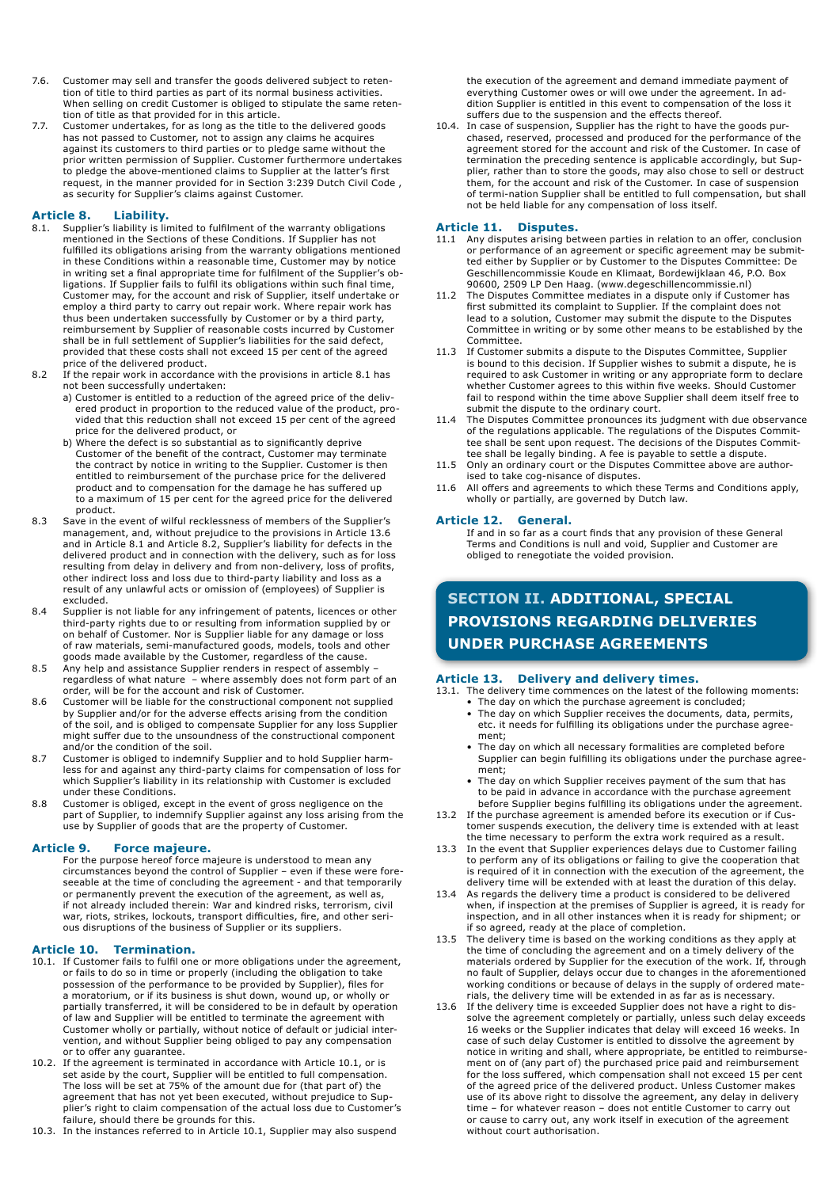- 7.6. Customer may sell and transfer the goods delivered subject to retention of title to third parties as part of its normal business activities. When selling on credit Customer is obliged to stipulate the same retention of title as that provided for in this article.
- 7.7. Customer undertakes, for as long as the title to the delivered goods has not passed to Customer, not to assign any claims he acquires against its customers to third parties or to pledge same without the prior written permission of Supplier. Customer furthermore undertakes to pledge the above-mentioned claims to Supplier at the latter's first request, in the manner provided for in Section 3:239 Dutch Civil Code , as security for Supplier's claims against Customer.

### **Article 8. Liability.**

- 8.1. Supplier's liability is limited to fulfilment of the warranty obligations mentioned in the Sections of these Conditions. If Supplier has not fulfilled its obligations arising from the warranty obligations mentioned in these Conditions within a reasonable time, Customer may by notice in writing set a final appropriate time for fulfilment of the Supplier's obligations. If Supplier fails to fulfil its obligations within such final time, Customer may, for the account and risk of Supplier, itself undertake or employ a third party to carry out repair work. Where repair work has thus been undertaken successfully by Customer or by a third party, reimbursement by Supplier of reasonable costs incurred by Customer shall be in full settlement of Supplier's liabilities for the said defect, provided that these costs shall not exceed 15 per cent of the agreed price of the delivered product.
- 8.2 If the repair work in accordance with the provisions in article 8.1 has not been successfully undertaken:
	- a) Customer is entitled to a reduction of the agreed price of the delivered product in proportion to the reduced value of the product, provided that this reduction shall not exceed 15 per cent of the agreed price for the delivered product, or
	- b) Where the defect is so substantial as to significantly deprive Customer of the benefit of the contract, Customer may terminate the contract by notice in writing to the Supplier. Customer is then entitled to reimbursement of the purchase price for the delivered product and to compensation for the damage he has suffered up to a maximum of 15 per cent for the agreed price for the delivered product.
- 8.3 Save in the event of wilful recklessness of members of the Supplier's management, and, without prejudice to the provisions in Article 13.6 and in Article 8.1 and Article 8.2, Supplier's liability for defects in the delivered product and in connection with the delivery, such as for loss resulting from delay in delivery and from non-delivery, loss of profits, other indirect loss and loss due to third-party liability and loss as a result of any unlawful acts or omission of (employees) of Supplier is excluded.
- 8.4 Supplier is not liable for any infringement of patents, licences or other third-party rights due to or resulting from information supplied by or on behalf of Customer. Nor is Supplier liable for any damage or loss of raw materials, semi-manufactured goods, models, tools and other goods made available by the Customer, regardless of the cause.
- 8.5 Any help and assistance Supplier renders in respect of assembly regardless of what nature – where assembly does not form part of an order, will be for the account and risk of Customer.
- 8.6 Customer will be liable for the constructional component not supplied by Supplier and/or for the adverse effects arising from the condition of the soil, and is obliged to compensate Supplier for any loss Supplier might suffer due to the unsoundness of the constructional component and/or the condition of the soil.
- 8.7 Customer is obliged to indemnify Supplier and to hold Supplier harmless for and against any third-party claims for compensation of loss for which Supplier's liability in its relationship with Customer is excluded under these Conditions.
- 8.8 Customer is obliged, except in the event of gross negligence on the part of Supplier, to indemnify Supplier against any loss arising from the use by Supplier of goods that are the property of Customer.

**Article 9. Force majeure.** For the purpose hereof force majeure is understood to mean any circumstances beyond the control of Supplier – even if these were foreseeable at the time of concluding the agreement - and that temporarily or permanently prevent the execution of the agreement, as well as, if not already included therein: War and kindred risks, terrorism, civil war, riots, strikes, lockouts, transport difficulties, fire, and other serious disruptions of the business of Supplier or its suppliers.

#### **Article 10. Termination.**

- 10.1. If Customer fails to fulfil one or more obligations under the agreement, or fails to do so in time or properly (including the obligation to take possession of the performance to be provided by Supplier), files for a moratorium, or if its business is shut down, wound up, or wholly or partially transferred, it will be considered to be in default by operation of law and Supplier will be entitled to terminate the agreement with Customer wholly or partially, without notice of default or judicial intervention, and without Supplier being obliged to pay any compensation or to offer any guarantee.
- 10.2. If the agreement is terminated in accordance with Article 10.1, or is set aside by the court, Supplier will be entitled to full compensation. The loss will be set at 75% of the amount due for (that part of) the agreement that has not yet been executed, without prejudice to Supplier's right to claim compensation of the actual loss due to Customer's failure, should there be grounds for this.
- 10.3. In the instances referred to in Article 10.1, Supplier may also suspend

the execution of the agreement and demand immediate payment of everything Customer owes or will owe under the agreement. In addition Supplier is entitled in this event to compensation of the loss it suffers due to the suspension and the effects thereof.

10.4. In case of suspension, Supplier has the right to have the goods pur chased, reserved, processed and produced for the performance of the agreement stored for the account and risk of the Customer. In case of termination the preceding sentence is applicable accordingly, but Supplier, rather than to store the goods, may also chose to sell or destruct them, for the account and risk of the Customer. In case of suspension of termi-nation Supplier shall be entitled to full compensation, but shall not be held liable for any compensation of loss itself.

- **Article 11. Disputes.** 11.1 Any disputes arising between parties in relation to an offer, conclusion or performance of an agreement or specific agreement may be submitted either by Supplier or by Customer to the Disputes Committee: De Geschillencommissie Koude en Klimaat, Bordewijklaan 46, P.O. Box 90600, 2509 LP Den Haag. (www.degeschillencommissie.nl)
- 11.2 The Disputes Committee mediates in a dispute only if Customer has first submitted its complaint to Supplier. If the complaint does not lead to a solution, Customer may submit the dispute to the Disputes Committee in writing or by some other means to be established by the Committee.
- 11.3 If Customer submits a dispute to the Disputes Committee, Supplier is bound to this decision. If Supplier wishes to submit a dispute, he is required to ask Customer in writing or any appropriate form to declare whether Customer agrees to this within five weeks. Should Customer fail to respond within the time above Supplier shall deem itself free to submit the dispute to the ordinary court.
- The Disputes Committee pronounces its judgment with due observance of the regulations applicable. The regulations of the Disputes Committee shall be sent upon request. The decisions of the Disputes Committee shall be legally binding. A fee is payable to settle a dispute.
- 11.5 Only an ordinary court or the Disputes Committee above are authorised to take cog-nisance of disputes.
- 11.6 All offers and agreements to which these Terms and Conditions apply, wholly or partially, are governed by Dutch law.

#### **Article 12. General.**

If and in so far as a court finds that any provision of these General Terms and Conditions is null and void, Supplier and Customer are obliged to renegotiate the voided provision.

### **SECTION II. ADDITIONAL, SPECIAL PROVISIONS REGARDING DELIVERIES UNDER PURCHASE AGREEMENTS**

#### **Article 13. Delivery and delivery times.**

13.1. The delivery time commences on the latest of the following moments:

- The day on which the purchase agreement is concluded; The day on which Supplier receives the documents, data, permits,
- etc. it needs for fulfilling its obligations under the purchase agreement;
- The day on which all necessary formalities are completed before Supplier can begin fulfilling its obligations under the purchase agreement;
- The day on which Supplier receives payment of the sum that has to be paid in advance in accordance with the purchase agreement before Supplier begins fulfilling its obligations under the agreement.
- 13.2 If the purchase agreement is amended before its execution or if Customer suspends execution, the delivery time is extended with at least the time necessary to perform the extra work required as a result.
- 13.3 In the event that Supplier experiences delays due to Customer failing to perform any of its obligations or failing to give the cooperation that is required of it in connection with the execution of the agreement, the delivery time will be extended with at least the duration of this delay.
- 13.4 As regards the delivery time a product is considered to be delivered when, if inspection at the premises of Supplier is agreed, it is ready for inspection, and in all other instances when it is ready for shipment; or if so agreed, ready at the place of completion.
- 13.5 The delivery time is based on the working conditions as they apply at the time of concluding the agreement and on a timely delivery of the materials ordered by Supplier for the execution of the work. If, through no fault of Supplier, delays occur due to changes in the aforementioned working conditions or because of delays in the supply of ordered materials, the delivery time will be extended in as far as is necessary.
- 13.6 If the delivery time is exceeded Supplier does not have a right to dissolve the agreement completely or partially, unless such delay exceeds 16 weeks or the Supplier indicates that delay will exceed 16 weeks. In case of such delay Customer is entitled to dissolve the agreement by notice in writing and shall, where appropriate, be entitled to reimbursement on of (any part of) the purchased price paid and reimbursement for the loss suffered, which compensation shall not exceed 15 per cent of the agreed price of the delivered product. Unless Customer makes use of its above right to dissolve the agreement, any delay in delivery time – for whatever reason – does not entitle Customer to carry out or cause to carry out, any work itself in execution of the agreement without court authorisation.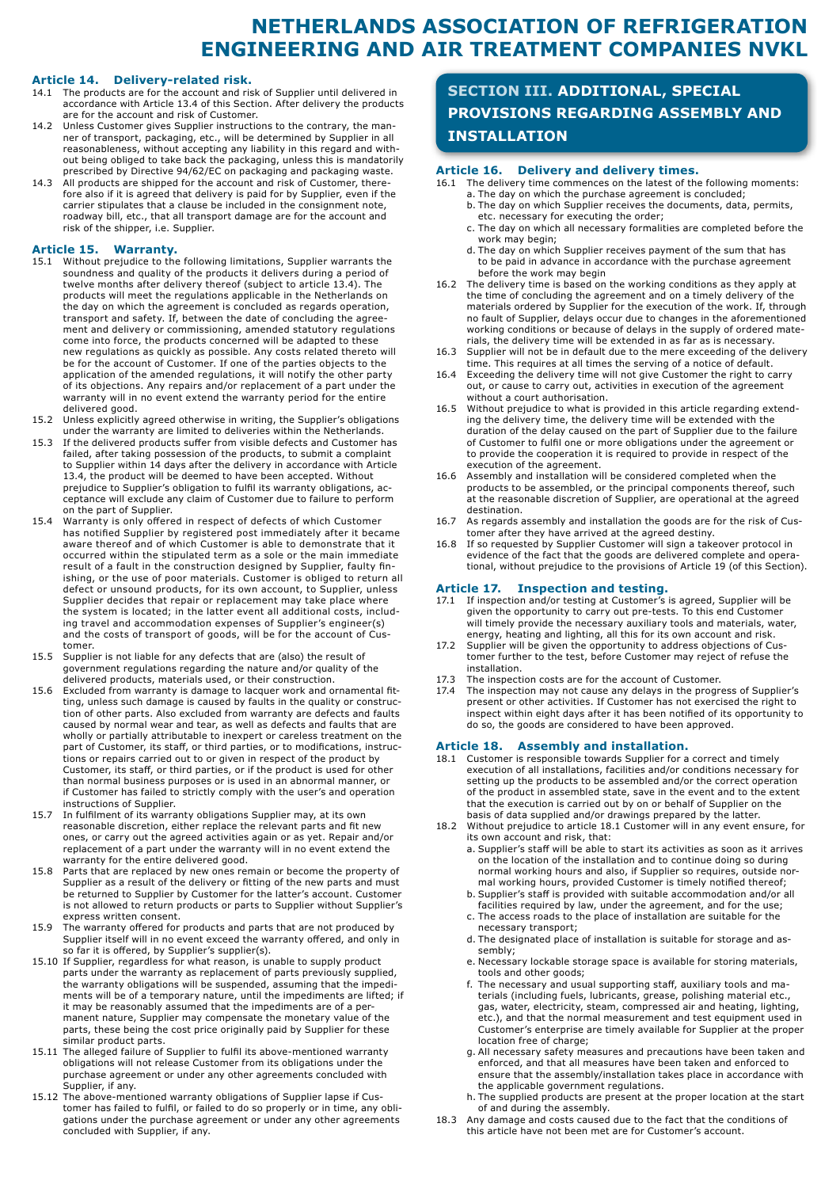## **NETHERLANDS ASSOCIATION OF REFRIGERATION ENGINEERING AND AIR TREATMENT COMPANIES NVKL**

### **Article 14. Delivery-related risk.**

- 14.1 The products are for the account and risk of Supplier until delivered in accordance with Article 13.4 of this Section. After delivery the products are for the account and risk of Customer.
- 14.2 Unless Customer gives Supplier instructions to the contrary, the manner of transport, packaging, etc., will be determined by Supplier in all reasonableness, without accepting any liability in this regard and without being obliged to take back the packaging, unless this is mandatorily prescribed by Directive 94/62/EC on packaging and packaging waste.
- 14.3 All products are shipped for the account and risk of Customer, therefore also if it is agreed that delivery is paid for by Supplier, even if the carrier stipulates that a clause be included in the consignment note, roadway bill, etc., that all transport damage are for the account and risk of the shipper, i.e. Supplier.

### **Article 15. Warranty.**

- 15.1 Without prejudice to the following limitations, Supplier warrants the soundness and quality of the products it delivers during a period of twelve months after delivery thereof (subject to article 13.4). The products will meet the regulations applicable in the Netherlands on the day on which the agreement is concluded as regards operation, transport and safety. If, between the date of concluding the agreement and delivery or commissioning, amended statutory regulations come into force, the products concerned will be adapted to these new regulations as quickly as possible. Any costs related thereto will be for the account of Customer. If one of the parties objects to the application of the amended regulations, it will notify the other party of its objections. Any repairs and/or replacement of a part under the warranty will in no event extend the warranty period for the entire delivered good.
- 15.2 Unless explicitly agreed otherwise in writing, the Supplier's obligations under the warranty are limited to deliveries within the Netherlands.
- 15.3 If the delivered products suffer from visible defects and Customer has failed, after taking possession of the products, to submit a complaint to Supplier within 14 days after the delivery in accordance with Article 13.4, the product will be deemed to have been accepted. Without prejudice to Supplier's obligation to fulfil its warranty obligations, acceptance will exclude any claim of Customer due to failure to perform on the part of Supplier.
- 15.4 Warranty is only offered in respect of defects of which Customer has notified Supplier by registered post immediately after it became aware thereof and of which Customer is able to demonstrate that it occurred within the stipulated term as a sole or the main immediate result of a fault in the construction designed by Supplier, faulty finishing, or the use of poor materials. Customer is obliged to return all defect or unsound products, for its own account, to Supplier, unless Supplier decides that repair or replacement may take place where the system is located; in the latter event all additional costs, including travel and accommodation expenses of Supplier's engineer(s) and the costs of transport of goods, will be for the account of Customer.
- 15.5 Supplier is not liable for any defects that are (also) the result of government regulations regarding the nature and/or quality of the delivered products, materials used, or their construction.
- 15.6 Excluded from warranty is damage to lacquer work and ornamental fitting, unless such damage is caused by faults in the quality or construction of other parts. Also excluded from warranty are defects and faults caused by normal wear and tear, as well as defects and faults that are wholly or partially attributable to inexpert or careless treatment on the part of Customer, its staff, or third parties, or to modifications, instructions or repairs carried out to or given in respect of the product by Customer, its staff, or third parties, or if the product is used for other than normal business purposes or is used in an abnormal manner, or if Customer has failed to strictly comply with the user's and operation instructions of Supplier.
- 15.7 In fulfilment of its warranty obligations Supplier may, at its own reasonable discretion, either replace the relevant parts and fit new ones, or carry out the agreed activities again or as yet. Repair and/or replacement of a part under the warranty will in no event extend the warranty for the entire delivered good.
- 15.8 Parts that are replaced by new ones remain or become the property of Supplier as a result of the delivery or fitting of the new parts and must be returned to Supplier by Customer for the latter's account. Customer is not allowed to return products or parts to Supplier without Supplier's express written consent.
- 15.9 The warranty offered for products and parts that are not produced by Supplier itself will in no event exceed the warranty offered, and only in so far it is offered, by Supplier's supplier(s).
- 15.10 If Supplier, regardless for what reason, is unable to supply product parts under the warranty as replacement of parts previously supplied, the warranty obligations will be suspended, assuming that the impediments will be of a temporary nature, until the impediments are lifted; if it may be reasonably assumed that the impediments are of a permanent nature, Supplier may compensate the monetary value of the parts, these being the cost price originally paid by Supplier for these similar product parts.
- 15.11 The alleged failure of Supplier to fulfil its above-mentioned warranty obligations will not release Customer from its obligations under the purchase agreement or under any other agreements concluded with Supplier, if any.
- 15.12 The above-mentioned warranty obligations of Supplier lapse if Customer has failed to fulfil, or failed to do so properly or in time, any obligations under the purchase agreement or under any other agreements concluded with Supplier, if any.

## **SECTION III. ADDITIONAL, SPECIAL PROVISIONS REGARDING ASSEMBLY AND INSTALLATION**

### **Article 16. Delivery and delivery times.**

- 16.1 The delivery time commences on the latest of the following moments: a. The day on which the purchase agreement is concluded;
	- b. The day on which Supplier receives the documents, data, permits, etc. necessary for executing the order;
	- c. The day on which all necessary formalities are completed before the work may begin;
	- d. The day on which Supplier receives payment of the sum that has to be paid in advance in accordance with the purchase agreement before the work may begin
- 16.2 The delivery time is based on the working conditions as they apply at the time of concluding the agreement and on a timely delivery of the materials ordered by Supplier for the execution of the work. If, through no fault of Supplier, delays occur due to changes in the aforementioned working conditions or because of delays in the supply of ordered materials, the delivery time will be extended in as far as is necessary.
- 16.3 Supplier will not be in default due to the mere exceeding of the delivery time. This requires at all times the serving of a notice of default.
- 16.4 Exceeding the delivery time will not give Customer the right to carry out, or cause to carry out, activities in execution of the agreement without a court authorisation.
- 16.5 Without prejudice to what is provided in this article regarding extending the delivery time, the delivery time will be extended with the duration of the delay caused on the part of Supplier due to the failure of Customer to fulfil one or more obligations under the agreement or to provide the cooperation it is required to provide in respect of the execution of the agreement.
- 16.6 Assembly and installation will be considered completed when the products to be assembled, or the principal components thereof, such at the reasonable discretion of Supplier, are operational at the agreed destination.
- 16.7 As regards assembly and installation the goods are for the risk of Customer after they have arrived at the agreed destiny.
- 16.8 If so requested by Supplier Customer will sign a takeover protocol in evidence of the fact that the goods are delivered complete and operational, without prejudice to the provisions of Article 19 (of this Section).

### **Article 17. Inspection and testing.**

- If inspection and/or testing at Customer's is agreed, Supplier will be given the opportunity to carry out pre-tests. To this end Customer will timely provide the necessary auxiliary tools and materials, water, energy, heating and lighting, all this for its own account and risk.
- 17.2 Supplier will be given the opportunity to address objections of Customer further to the test, before Customer may reject of refuse the installation.
- 17.3 The inspection costs are for the account of Customer.
- 17.4 The inspection may not cause any delays in the progress of Supplier's present or other activities. If Customer has not exercised the right to inspect within eight days after it has been notified of its opportunity to do so, the goods are considered to have been approved.

- **Article 18. Assembly and installation.**  18.1 Customer is responsible towards Supplier for a correct and timely execution of all installations, facilities and/or conditions necessary for setting up the products to be assembled and/or the correct operation of the product in assembled state, save in the event and to the extent that the execution is carried out by on or behalf of Supplier on the basis of data supplied and/or drawings prepared by the latter.
- 18.2 Without prejudice to article 18.1 Customer will in any event ensure, for its own account and risk, that:
	- a. Supplier's staff will be able to start its activities as soon as it arrives on the location of the installation and to continue doing so during normal working hours and also, if Supplier so requires, outside normal working hours, provided Customer is timely notified thereof;
	- b. Supplier's staff is provided with suitable accommodation and/or all facilities required by law, under the agreement, and for the use; c. The access roads to the place of installation are suitable for the
	- necessary transport; d. The designated place of installation is suitable for storage and as-
	- sembly;
	- e. Necessary lockable storage space is available for storing materials, tools and other goods;
	- f. The necessary and usual supporting staff, auxiliary tools and materials (including fuels, lubricants, grease, polishing material etc., gas, water, electricity, steam, compressed air and heating, lighting, etc.), and that the normal measurement and test equipment used in Customer's enterprise are timely available for Supplier at the proper location free of charge;
	- g. All necessary safety measures and precautions have been taken and enforced, and that all measures have been taken and enforced to ensure that the assembly/installation takes place in accordance with the applicable government regulations.
	- h. The supplied products are present at the proper location at the start of and during the assembly.
- 18.3 Any damage and costs caused due to the fact that the conditions of this article have not been met are for Customer's account.